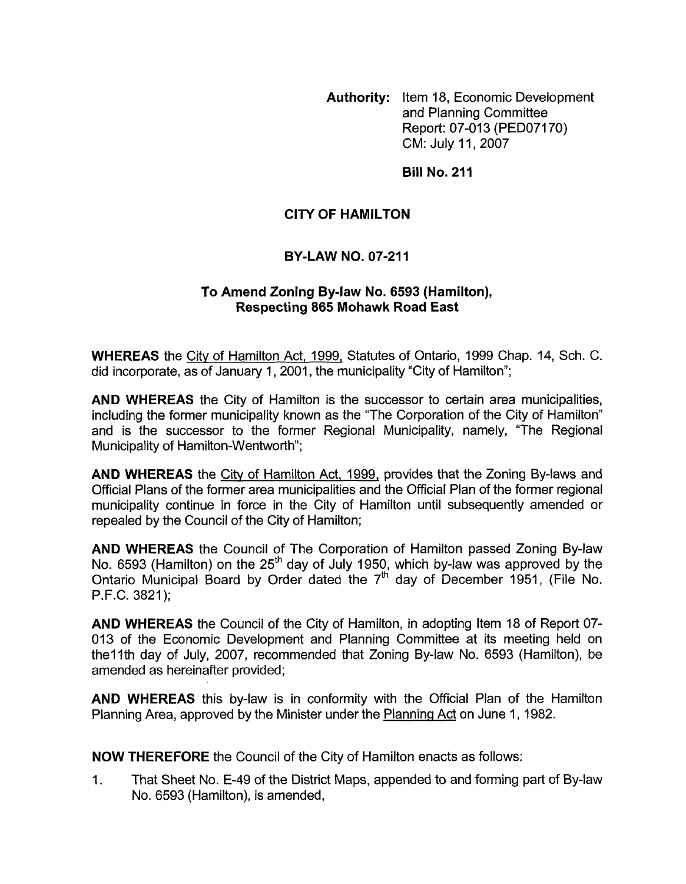**Authority:** Item 18, Economic Development and Planning Committee Report: 07-013 (PED07170) CM: July 11,2007

**Bill No. 211** 

## **CITY OF HAMILTON**

## **BY-LAW NO. 07-211**

#### **To Amend Zoning Bylaw No. 6593 (Hamilton), Respecting 865 Mohawk Road East**

**WHEREAS** the City of Hamilton Act, 1999, Statutes of Ontario, 1999 Chap. 14, Sch. C. did incorporate, as of January 1, 2001, the municipality "City of Hamilton";

**AND WHEREAS** the City of Hamilton is the successor to certain area municipalities, including the former municipality known as the "The Corporation of the City of Hamilton" and is the successor to the former Regional Municipality, namely, "The Regional Municipality of Hamilton-Wentworth";

**AND WHEREAS** the City of Hamilton Act, 1999, provides that the Zoning By-laws and Official Plans of the former area municipalities and the Official Plan of the former regional municipality continue in force in the City of Hamilton until subsequently amended or repealed by the Council of the City of Hamilton;

**AND WHEREAS** the Council of The Corporation of Hamilton passed Zoning By-law No. 6593 (Hamilton) on the  $25<sup>th</sup>$  day of July 1950, which by-law was approved by the Ontario Municipal Board by Order dated the  $7<sup>th</sup>$  day of December 1951, (File No. P.F.C. 3821);

**AND WHEREAS** the Council of the City of Hamilton, in adopting Item 18 of Report 07- 013 of the Economic Development and Planning Committee at its meeting held on the 11th day of July, 2007, recommended that Zoning By-law No. 6593 (Hamilton), be amended as hereinafter provided;

**AND WHEREAS** this by-law is in conformity with the Official Plan of the Hamilton Planning Area, approved by the Minister under the Planning Act on June 1, 1982.

**NOW THEREFORE** the Council of the City of Hamilton enacts as follows:

1. That Sheet No. E-49 of the District Maps, appended to and forming part of By-law No. 6593 (Hamilton), is amended,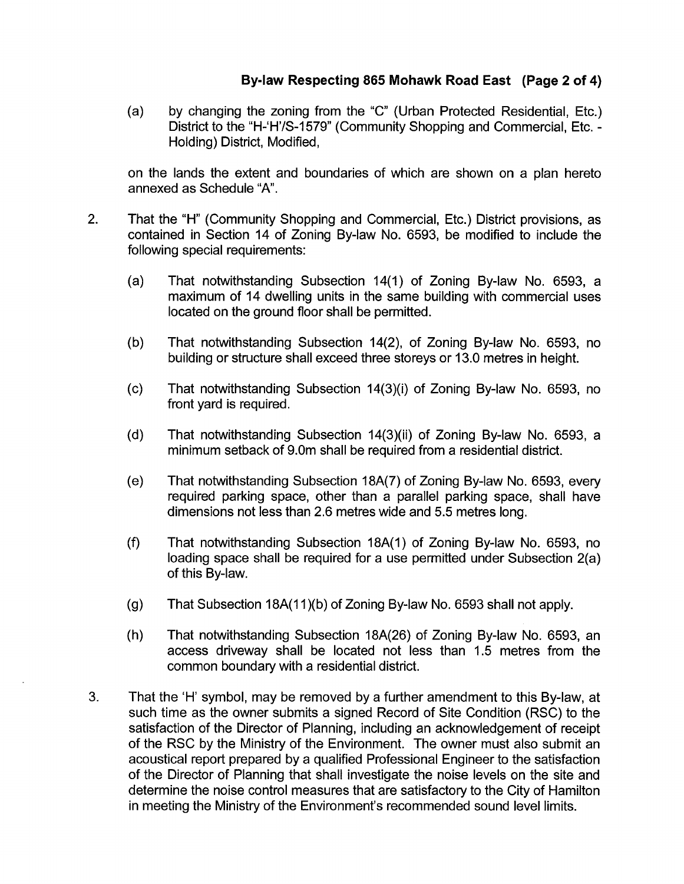# **Bylaw Respecting 865 Mohawk Road East (Page 2 of 4)**

(a) by changing the zoning from the "C" (Urban Protected Residential, Etc.) District to the "H-'H'/S-1579" (Community Shopping and Commercial, Etc. - Holding) District, Modified,

on the lands the extent and boundaries of which are shown on a plan hereto annexed as Schedule "A".

- 2. That the "H" (Community Shopping and Commercial, Etc.) District provisions, as contained in Section 14 of Zoning By-law No. 6593, be modified to include the following special requirements:
	- $(a)$ That notwithstanding Subsection 14(1) of Zoning By-law No. 6593, a maximum of 14 dwelling units in the same building with commercial uses located on the ground floor shall be permitted.
	- $(b)$ That notwithstanding Subsection 14(2), of Zoning By-law No. 6593, no building or structure shall exceed three storeys or 13.0 metres in height.
	- $(c)$ That notwithstanding Subsection 14(3)(i) of Zoning By-law No. 6593, no front yard is required.
	- $(d)$ That notwithstanding Subsection 14(3)(ii) of Zoning By-law No. 6593, a minimum setback of 9.0m shall be required from a residential district.
	- $(e)$ That notwithstanding Subsection 18A(7) of Zoning By-law No. 6593, every required parking space, other than a parallel parking space, shall have dimensions not less than 2.6 metres wide and 5.5 metres long.
	- $(f)$ That notwithstanding Subsection 18A(1) of Zoning By-law No. 6593, no loading space shall be required for a use permitted under Subsection 2(a) of this By-law.
	- $(g)$ That Subsection 18A(11)(b) of Zoning By-law No. 6593 shall not apply.
	- $(h)$ That notwithstanding Subsection 18A(26) of Zoning By-law No. 6593, an access driveway shall be located not less than 1.5 metres from the common boundary with a residential district.
- 3. That the 'H' symbol, may be removed by a further amendment to this By-law, at such time as the owner submits a signed Record of Site Condition (RSC) to the satisfaction of the Director of Planning, including an acknowledgement of receipt of the RSC by the Ministry of the Environment. The owner must also submit an acoustical report prepared by a qualified Professional Engineer to the satisfaction of the Director of Planning that shall investigate the noise levels on the site and determine the noise control measures that are satisfactory to the City of Hamilton in meeting the Ministry of the Environment's recommended sound level limits.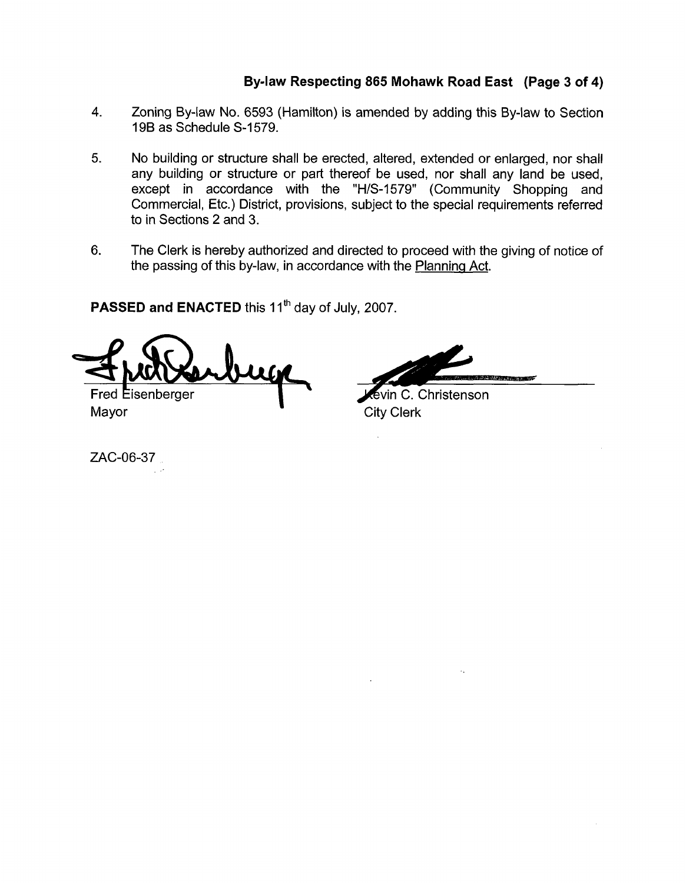# **Bylaw Respecting 865 Mohawk Road East (Page 3 of 4)**

- **4.** Zoning By-law No. 6593 (Hamilton) is amended by adding this By-law to Section 19B as Schedule S-1579.
- **5.** No building or structure shall be erected, altered, extended or enlarged, nor shall any building or structure or part thereof be used, nor shall any land be used, except in accordance with the "H/S-1579" (Community Shopping and Commercial, Etc.) District, provisions, subject to the special requirements referred to in Sections 2 and 3.
- 6. The Clerk is hereby authorized and directed to proceed with the giving of notice of the passing of this by-law, in accordance with the Planninq Act.

**PASSED and ENACTED** this 11<sup>th</sup> day of July, 2007.

Fred Eisenberger

AND ARRESTS OF

tevin C. Christenson Mayor **Mayor** City Clerk

ZAC-06-37